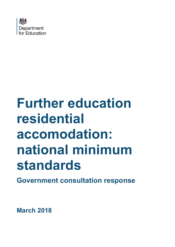

# **Further education residential accomodation: national minimum standards**

**Government consultation response**

**March 2018**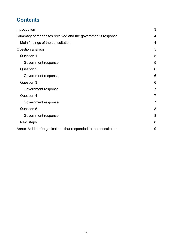# **Contents**

| Introduction                                                      | 3              |
|-------------------------------------------------------------------|----------------|
| Summary of responses received and the government's response       | 4              |
| Main findings of the consultation                                 | $\overline{4}$ |
| Question analysis                                                 | 5              |
| <b>Question 1</b>                                                 | 5              |
| Government response                                               | 5              |
| Question 2                                                        | 6              |
| Government response                                               | 6              |
| Question 3                                                        | 6              |
| Government response                                               | $\overline{7}$ |
| Question 4                                                        | 7              |
| Government response                                               | $\overline{7}$ |
| Question 5                                                        | 8              |
| Government response                                               | 8              |
| Next steps                                                        | 8              |
| Annex A: List of organisations that responded to the consultation | 9              |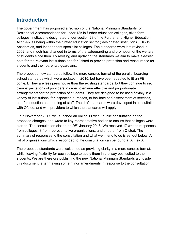# <span id="page-2-0"></span>**Introduction**

The government has proposed a revision of the National Minimum Standards for Residential Accommodation for under 18s in further education colleges, sixth form colleges, institutions designated under section 28 of the Further and Higher Education Act 1992 as being within the further education sector ("designated institutions"), 16-19 Academies, and independent specialist colleges. The standards were last revised in 2002, and much has changed in terms of the safeguarding and promotion of the welfare of students since then. By revising and updating the standards we aim to make it easier both for the relevant institutions and for Ofsted to provide protection and reassurance for students and their parents / guardians.

The proposed new standards follow the more concise format of the parallel boarding school standards which were updated in 2015, but have been adapted to fit an FE context. They are less prescriptive than the existing standards, but they continue to set clear expectations of providers in order to ensure effective and proportionate arrangements for the protection of students. They are designed to be used flexibly in a variety of institutions, for inspection purposes, to facilitate self-assessment of services, and for induction and training of staff. The draft standards were developed in consultation with Ofsted, and with providers to which the standards will apply.

On 7 November 2017, we launched an online 11 week public consultation on the proposed changes, and wrote to key representative bodies to ensure that colleges were alerted. The consultation closed on  $26<sup>th</sup>$  January 2018. We received 17 written responses from colleges, 3 from representative organisations, and another from Ofsted. The summary of responses to the consultation and what we intend to do is set out below. A list of organisations which responded to the consultation can be found at Annex A.

The proposed standards were welcomed as providing clarity in a more concise format, whilst leaving flexibility for each college to apply them in the way best suited to their students. We are therefore publishing the new National Minimum Standards alongside this document, after making some minor amendments in response to the consultation.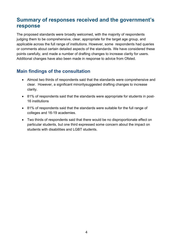# <span id="page-3-0"></span>**Summary of responses received and the government's response**

The proposed standards were broadly welcomed, with the majority of respondents judging them to be comprehensive, clear, appropriate for the target age group, and applicable across the full range of institutions. However, some respondents had queries or comments about certain detailed aspects of the standards. We have considered these points carefully, and made a number of drafting changes to increase clarity for users. Additional changes have also been made in response to advice from Ofsted.

## <span id="page-3-1"></span>**Main findings of the consultation**

- Almost two thirds of respondents said that the standards were comprehensive and clear. However, a significant minoritysuggested drafting changes to increase clarity.
- 81% of respondents said that the standards were appropriate for students in post-16 institutions
- 81% of respondents said that the standards were suitable for the full range of colleges and 16-19 academies.
- Two thirds of respondents said that there would be no disproportionate effect on particular students, but one third expressed some concern about the impact on students with disabilities and LGBT students.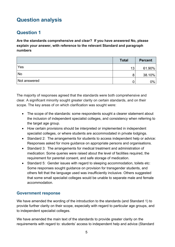# <span id="page-4-0"></span>**Question analysis**

## <span id="page-4-1"></span>**Question 1**

**Are the standards comprehensive and clear? If you have answered No, please explain your answer, with reference to the relevant Standard and paragraph numbers**

|              | <b>Total</b> | <b>Percent</b> |
|--------------|--------------|----------------|
| Yes          | 13           | $61.90\%$      |
| No           | 8            | $38.10\%$      |
| Not answered |              | 0%             |

The majority of responses agreed that the standards were both comprehensive and clear. A significant minority sought greater clarity on certain standards, and on their scope. The key areas of on which clarification was sought were:

- The scope of the standards: some respondents sought a clearer statement about the inclusion of independent specialist colleges, and consistency when referring to the target age group.
- How certain provisions should be interpreted or implemented in independent specialist colleges, or where students are accommodated in private lodgings.
- Standard 2: The arrangements for students to access independent help or advice: Responses asked for more guidance on appropriate persons and organisations.
- Standard 3: The arrangements for medical treatment and administration of medication: Some queries were raised about the level of facilities required, the requirement for parental consent, and safe storage of medication.
- Standard 5: Gender issues with regard to sleeping accommodation, toilets etc: Some responses sought guidance on provision for transgender students, and others felt that the language used was insufficiently inclusive. Others suggested that some small specialist colleges would be unable to separate male and female accommodation.

#### <span id="page-4-2"></span>**Government response**

We have amended the wording of the introduction to the standards (and Standard 1) to provide further clarity on their scope, especially with regard to particular age groups, and to independent specialist colleges.

We have amended the main text of the standards to provide greater clarity on the requirements with regard to: students' access to independent help and advice (Standard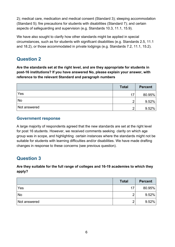2); medical care, medication and medical consent (Standard 3); sleeping accommodation (Standard 5); fire precautions for students with disabilities (Standard 7); and certain aspects of safeguarding and supervision (e.g. Standards 10.3, 11.1, 15.9).

We have also sought to clarify how other standards might be applied in special circumstances, such as for students with significant disabilities (e.g. Standards 2.5, 11.1 and 18.2), or those accommodated in private lodgings (e.g. Standards 7.2, 11.1, 15.2).

## <span id="page-5-0"></span>**Question 2**

**Are the standards set at the right level, and are they appropriate for students in post-16 institutions? If you have answered No, please explain your answer, with reference to the relevant Standard and paragraph numbers**

|              | <b>Total</b> | <b>Percent</b> |
|--------------|--------------|----------------|
| Yes          | 17           | $80.95\%$      |
| No           |              | 9.52%          |
| Not answered | ⌒            | 9.52%          |

#### <span id="page-5-1"></span>**Government response**

A large majority of respondents agreed that the new standards are set at the right level for post 16 students. However, we received comments seeking clarity on which age group was in scope, and highlighting certain instances where the standards might not be suitable for students with learning difficulties and/or disabilities. We have made drafting changes in response to these concerns (see previous question).

# <span id="page-5-2"></span>**Question 3**

**Are they suitable for the full range of colleges and 16-19 academies to which they apply?**

|              | <b>Total</b> | <b>Percent</b> |
|--------------|--------------|----------------|
| Yes          | 17           | $80.95\%$      |
| <b>No</b>    | റ            | 9.52%          |
| Not answered | റ            | 9.52%          |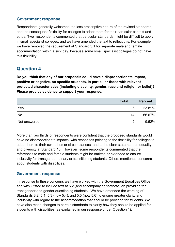#### <span id="page-6-0"></span>**Government response**

Respondents generally welcomed the less prescriptive nature of the revised standards, and the consequent flexibility for colleges to adapt them for their particular context and ethos. Two respondents commented that particular standards might be difficult to apply in small specialist colleges, and we have amended the text to reflect this. For example, we have removed the requirement at Standard 3.1 for separate male and female accommodation within a sick bay, because some small specialist colleges do not have this flexibility.

## <span id="page-6-1"></span>**Question 4**

**Do you think that any of our proposals could have a disproportionate impact, positive or negative, on specific students, in particular those with relevant protected characteristics (including disability, gender, race and religion or belief)? Please provide evidence to support your response.**

|              | <b>Total</b> | <b>Percent</b> |
|--------------|--------------|----------------|
| Yes          | 5            | 23.81%         |
| No           | 14           | 66.67%         |
| Not answered | ◠            | 9.52%          |

More than two thirds of respondents were confident that the proposed standards would have no disproportionate impacts, with responses pointing to the flexibility for colleges to adapt them to their own ethos or circumstances, and to the clear statement on equality and diversity at Standard 16. However, some respondents commented that the references to male and female students might be omitted or extended to ensure inclusivity for transgender, binary or transitioning students. Others mentioned concerns about students with disabilities.

#### <span id="page-6-2"></span>**Government response**

In response to these concerns we have worked with the Government Equalities Office and with Ofsted to include text at 5.2 (and accompanying footnote) on providing for transgender and gender questioning students. We have amended the wording of Standards 3.2, 5.1, 5.3 (now 5.4), and 5.5 (now 5.6) to ensure greater clarity and inclusivity with regard to the accommodation that should be provided for students. We have also made changes to certain standards to clarify how they should be applied for students with disabilities (as explained in our response under Question 1).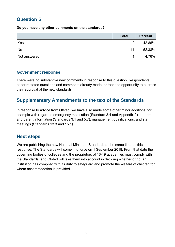## <span id="page-7-0"></span>**Question 5**

**Do you have any other comments on the standards?**

|              | <b>Total</b> | <b>Percent</b> |
|--------------|--------------|----------------|
| Yes          | 9            | 42.86%         |
| No           | 11           | 52.38%         |
| Not answered |              | 4.76%          |

#### <span id="page-7-1"></span>**Government response**

There were no substantive new comments in response to this question. Respondents either restated questions and comments already made, or took the opportunity to express their approval of the new standards.

## **Supplementary Amendments to the text of the Standards**

In response to advice from Ofsted, we have also made some other minor additions, for example with regard to emergency medication (Standard 3.4 and Appendix 2), student and parent information (Standards 3.1 and 5.7), management qualifications, and staff meetings (Standards 13.3 and 15.1).

### <span id="page-7-2"></span>**Next steps**

We are publishing the new National Minimum Standards at the same time as this response. The Standards will come into force on 1 September 2018. From that date the governing bodies of colleges and the proprietors of 16-19 academies must comply with the Standards, and Ofsted will take them into account in deciding whether or not an institution has complied with its duty to safeguard and promote the welfare of children for whom accommodation is provided.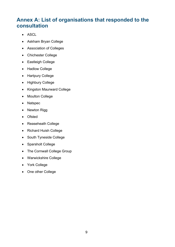# <span id="page-8-0"></span>**Annex A: List of organisations that responded to the consultation**

- ASCL
- Askham Bryan College
- Association of Colleges
- Chichester College
- Eastleigh College
- Hadlow College
- Hartpury College
- Highbury College
- Kingston Maurward College
- Moulton College
- Natspec
- Newton Rigg
- Ofsted
- Reaseheath College
- Richard Huish College
- South Tyneside College
- Sparsholt College
- The Cornwall College Group
- Warwickshire College
- York College
- One other College